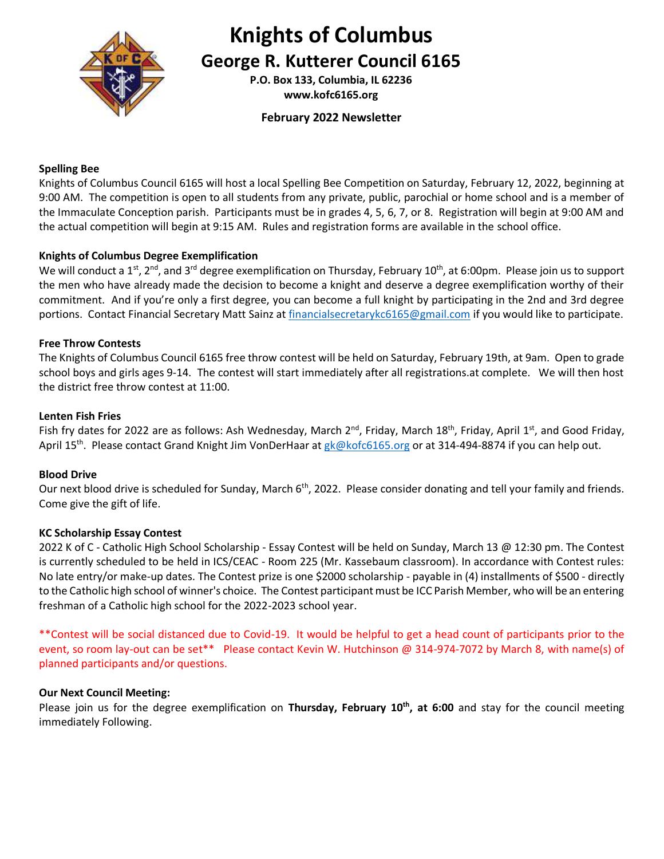

### **Knights of Columbus**

**George R. Kutterer Council 6165**

**P.O. Box 133, Columbia, IL 62236 www.kofc6165.org**

#### **February 2022 Newsletter**

#### **Spelling Bee**

Knights of Columbus Council 6165 will host a local Spelling Bee Competition on Saturday, February 12, 2022, beginning at 9:00 AM. The competition is open to all students from any private, public, parochial or home school and is a member of the Immaculate Conception parish. Participants must be in grades 4, 5, 6, 7, or 8. Registration will begin at 9:00 AM and the actual competition will begin at 9:15 AM. Rules and registration forms are available in the school office.

#### **Knights of Columbus Degree Exemplification**

We will conduct a 1<sup>st</sup>, 2<sup>nd</sup>, and 3<sup>rd</sup> degree exemplification on Thursday, February 10<sup>th</sup>, at 6:00pm. Please join us to support the men who have already made the decision to become a knight and deserve a degree exemplification worthy of their commitment. And if you're only a first degree, you can become a full knight by participating in the 2nd and 3rd degree portions. Contact Financial Secretary Matt Sainz at [financialsecretarykc6165@gmail.com](mailto:financialsecretarykc6165@gmail.com) if you would like to participate.

#### **Free Throw Contests**

The Knights of Columbus Council 6165 free throw contest will be held on Saturday, February 19th, at 9am. Open to grade school boys and girls ages 9-14. The contest will start immediately after all registrations.at complete. We will then host the district free throw contest at 11:00.

#### **Lenten Fish Fries**

Fish fry dates for 2022 are as follows: Ash Wednesday, March 2<sup>nd</sup>, Friday, March 18<sup>th</sup>, Friday, April 1<sup>st</sup>, and Good Friday, April 15<sup>th</sup>. Please contact Grand Knight Jim VonDerHaar at [gk@kofc6165.org](mailto:gk@kofc6165.org) or at 314-494-8874 if you can help out.

#### **Blood Drive**

Our next blood drive is scheduled for Sunday, March 6<sup>th</sup>, 2022. Please consider donating and tell your family and friends. Come give the gift of life.

#### **KC Scholarship Essay Contest**

2022 K of C - Catholic High School Scholarship - Essay Contest will be held on Sunday, March 13 @ 12:30 pm. The Contest is currently scheduled to be held in ICS/CEAC - Room 225 (Mr. Kassebaum classroom). In accordance with Contest rules: No late entry/or make-up dates. The Contest prize is one \$2000 scholarship - payable in (4) installments of \$500 - directly to the Catholic high school of winner's choice. The Contest participant must be ICC Parish Member, who will be an entering freshman of a Catholic high school for the 2022-2023 school year.

\*\*Contest will be social distanced due to Covid-19. It would be helpful to get a head count of participants prior to the event, so room lay-out can be set\*\* Please contact Kevin W. Hutchinson @ 314-974-7072 by March 8, with name(s) of planned participants and/or questions.

#### **Our Next Council Meeting:**

Please join us for the degree exemplification on **Thursday, February 10th, at 6:00** and stay for the council meeting immediately Following.